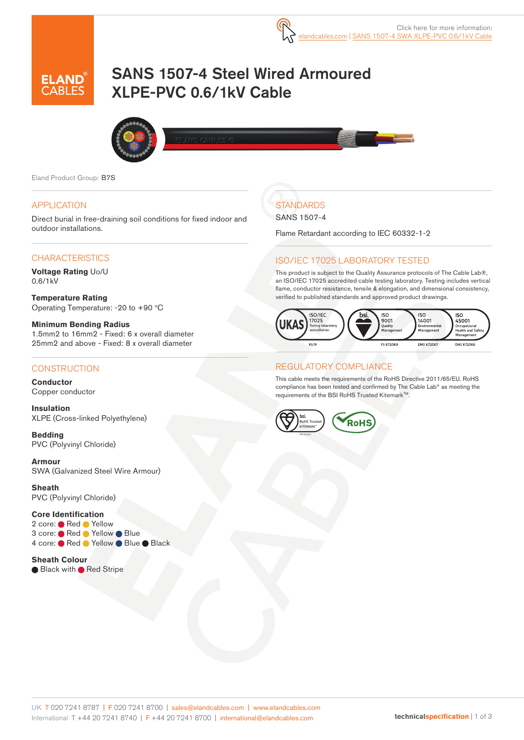# SANS 1507-4 Steel Wired Armoured XLPE-PVC 0.6/1kV Cable



Eland Product Group: B7S

#### APPLICATION

Direct burial in free-draining soil conditions for fixed indoor and outdoor installations.

#### **CHARACTERISTICS**

**Voltage Rating** Uo/U 0.6/1kV

**Temperature Rating**  Operating Temperature: -20 to +90  $°C$ 

**Minimum Bending Radius**  1.5mm2 to 16mm2 - Fixed: 6 x overall diameter 25mm2 and above - Fixed: 8 x overall diameter

#### **CONSTRUCTION**

**Conductor** Copper conductor

**Insulation** XLPE (Cross-linked Polyethylene)

**Bedding** PVC (Polyvinyl Chloride)

**Armour** SWA (Galvanized Steel Wire Armour)

**Sheath** PVC (Polyvinyl Chloride)

#### **Core Identification**

2 core: Red Yellow 3 core: ● Red ● Yellow ● Blue 4 core: Red Yellow Blue Black

**Sheath Colour** ● Black with ● Red Stripe

## **STANDARDS**

#### SANS 1507-4

Flame Retardant according to IEC 60332-1-2

### ISO/IEC 17025 LABORATORY TESTED

This product is subject to the Quality Assurance protocols of The Cable Lab®, an ISO/IEC 17025 accredited cable testing laboratory. Testing includes vertical flame, conductor resistance, tensile & elongation, and dimensional consistency, verified to published standards and approved product drawings.



#### REGULATORY COMPLIANCE

This cable meets the requirements of the RoHS Directive 2011/65/EU. RoHS compliance has been tested and confirmed by The Cable Lab® as meeting the requirements of the BSI RoHS Trusted Kitemark™.

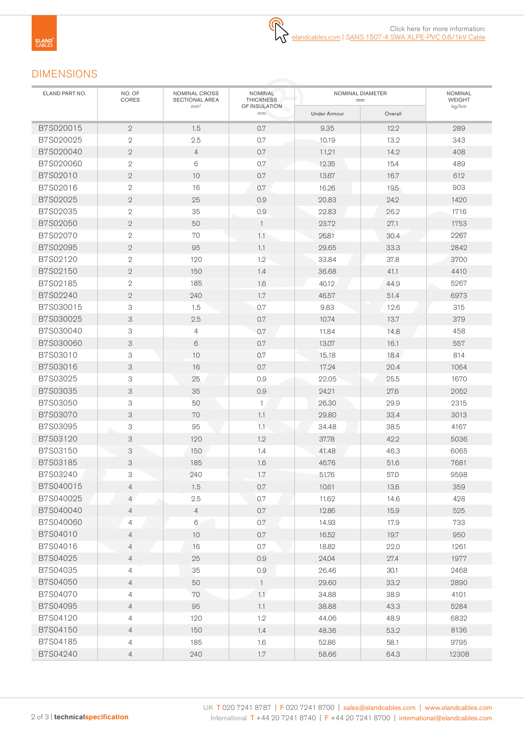## DIMENSIONS

| ELAND PART NO. | NO. OF<br>CORES | NOMINAL CROSS<br>SECTIONAL AREA | <b>NOMINAL</b><br><b>THICKNESS</b> | NOMINAL DIAMETER<br>mm | NOMINAL<br>WEIGHT |       |  |
|----------------|-----------------|---------------------------------|------------------------------------|------------------------|-------------------|-------|--|
|                |                 | mm <sup>2</sup>                 | OF INSULATION<br>mm                | <b>Under Armour</b>    | Overall           | kg/km |  |
| B7S020015      | $\mathbf{2}$    | 1.5                             | 0.7                                | 9.35                   | 12.2              | 289   |  |
| B7S020025      | $\overline{2}$  | 2.5                             | 0.7                                | 10.19                  | 13.2              | 343   |  |
| B7S020040      | $\sqrt{2}$      | $\overline{4}$                  | 0.7                                | 11,21                  | 14.2              | 408   |  |
| B7S020060      | $\sqrt{2}$      | $6\,$                           | 0.7                                | 12.35                  | 15.4              | 489   |  |
| B7S02010       | $\overline{2}$  | 10                              | 0.7                                | 13.67                  | 16.7              | 612   |  |
| B7S02016       | $\overline{2}$  | 16                              | 0.7                                | 16.26                  | 19.5              | 903   |  |
| B7S02025       | $\sqrt{2}$      | 25                              | 0.9                                | 20.83                  | 24.2              | 1420  |  |
| B7S02035       | $\mathbf{2}$    | 35                              | 0.9                                | 22.83                  | 26.2              | 1716  |  |
| B7S02050       | $\overline{2}$  | 50                              | $\mathbf{1}$                       | 23.72                  | 27.1              | 1753  |  |
| B7S02070       | $\overline{2}$  | 70                              | 1.1                                | 26.81                  | 30.4              | 2267  |  |
| B7S02095       | $\sqrt{2}$      | 95                              | 1.1                                | 29.65                  | 33.3              | 2842  |  |
| B7S02120       | $\sqrt{2}$      | 120                             | 1.2                                | 33.84                  | 37.8              | 3700  |  |
| B7S02150       | $\overline{2}$  | 150                             | 1.4                                | 36.68                  | 41.1              | 4410  |  |
| B7S02185       | $\mathbf{2}$    | 185                             | 1.6                                | 40.12                  | 44.9              | 5267  |  |
| B7S02240       | $\mathbf{2}$    | 240                             | 1.7                                | 46.57                  | 51.4              | 6973  |  |
| B7S030015      | 3               | 1.5                             | 0.7                                | 9.83                   | 12.6              | 315   |  |
| B7S030025      | 3               | 2.5                             | $0.7\,$                            | 10.74                  | 13.7              | 379   |  |
| B7S030040      | 3               | $\overline{4}$                  | 0.7                                | 11.84                  | 14.8              | 458   |  |
| B7S030060      | 3               | 6                               | 0.7                                | 13.07                  | 16.1              | 557   |  |
| B7S03010       | 3               | 10                              | 0.7                                | 15.18                  | 18.4              | 814   |  |
| B7S03016       | 3               | 16                              | 0.7                                | 17.24                  | 20.4              | 1064  |  |
| B7S03025       | 3               | 25                              | 0.9                                | 22.05                  | 25.5              | 1670  |  |
| B7S03035       | 3               | 35                              | 0.9                                | 24.21                  | 27.6              | 2052  |  |
| B7S03050       | 3               | 50                              | $\mathbf{1}$                       | 26.30                  | 29.9              | 2315  |  |
| B7S03070       | 3               | 70                              | 1.1                                | 29.80                  | 33.4              | 3013  |  |
| B7S03095       | 3               | 95                              | $1.1 -$                            | 34.48                  | 38.5              | 4167  |  |
| B7S03120       | 3               | 120                             | 1.2                                | 37.78                  | 42.2              | 5036  |  |
| B7S03150       | 3               | 150                             | 1.4                                | 41.48                  | 46.3              | 6065  |  |
| B7S03185       | 3               | 185                             | 1.6                                | 46.76                  | 51.6              | 7681  |  |
| B7S03240       | 3               | 240                             | 1.7                                | 51.76                  | 57.0              | 9598  |  |
| B7S040015      | 4               | 1.5                             | 0.7                                | 10.61                  | 13.6              | 359   |  |
| B7S040025      | $\overline{4}$  | 2.5                             | 0.7                                | 11.62                  | 14.6              | 428   |  |
| B7S040040      | $\overline{4}$  | $\overline{4}$                  | 0.7                                | 12.86                  | 15.9              | 525   |  |
| B7S040060      | 4               | $\,6\,$                         | 0.7                                | 14.93                  | 17.9              | 733   |  |
| B7S04010       | 4               | 10                              | 0.7                                | 16.52                  | 19.7              | 950   |  |
| B7S04016       | $\overline{4}$  | 16                              | 0.7                                | 18.82                  | 22.0              | 1261  |  |
| B7S04025       | $\overline{4}$  | 25                              | 0.9                                | 24.04                  | 27.4              | 1977  |  |
| B7S04035       | 4               | 35                              | 0.9                                | 26.46                  | 30.1              | 2468  |  |
| B7S04050       | $\overline{4}$  | 50                              | $\mathbf{1}$                       | 29.60                  | 33.2              | 2890  |  |
| B7S04070       | 4               | 70                              | 1.1                                | 34.88                  | 38.9              | 4101  |  |
| B7S04095       | $\overline{4}$  | 95                              | 1.1                                | 38.88                  | 43.3              | 5284  |  |
| B7S04120       | 4               | 120                             | 1.2                                | 44.06                  | 48.9              | 6832  |  |
| B7S04150       | $\overline{4}$  | 150                             | 1.4                                | 48.36                  | 53.2              | 8136  |  |
| B7S04185       | 4               | 185                             | 1.6                                | 52.86                  | 58.1              | 9795  |  |
| B7S04240       | 4               | 240                             | $1.7\,$                            | 58.66                  | 64.3              | 12308 |  |